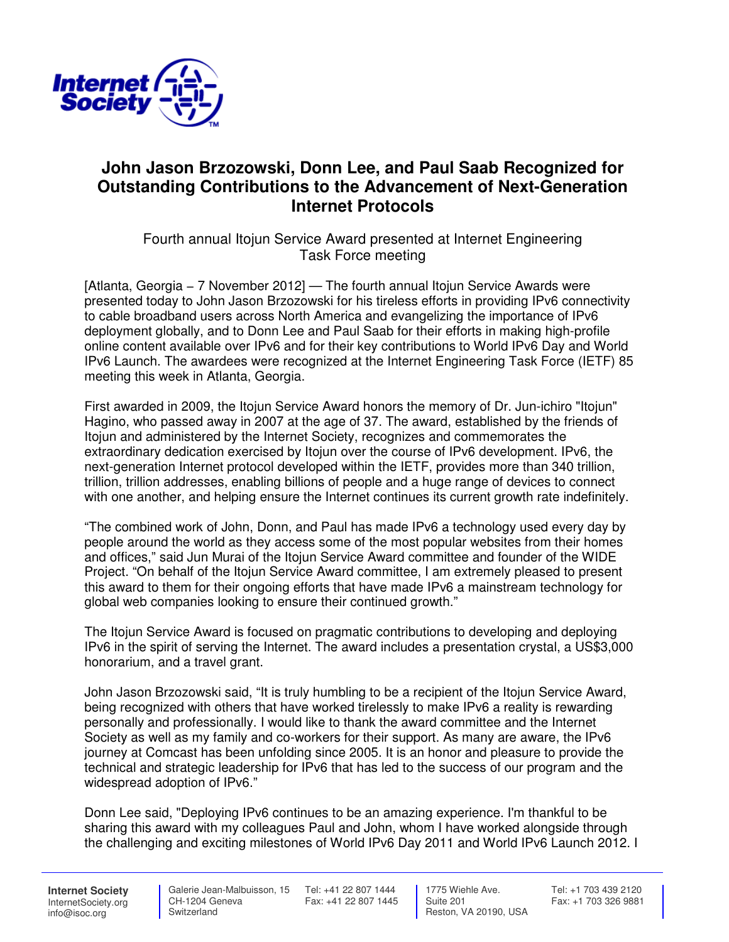

## **John Jason Brzozowski, Donn Lee, and Paul Saab Recognized for Outstanding Contributions to the Advancement of Next-Generation Internet Protocols**

Fourth annual Itojun Service Award presented at Internet Engineering Task Force meeting

[Atlanta, Georgia − 7 November 2012] — The fourth annual Itojun Service Awards were presented today to John Jason Brzozowski for his tireless efforts in providing IPv6 connectivity to cable broadband users across North America and evangelizing the importance of IPv6 deployment globally, and to Donn Lee and Paul Saab for their efforts in making high-profile online content available over IPv6 and for their key contributions to World IPv6 Day and World IPv6 Launch. The awardees were recognized at the Internet Engineering Task Force (IETF) 85 meeting this week in Atlanta, Georgia.

First awarded in 2009, the Itojun Service Award honors the memory of Dr. Jun-ichiro "Itojun" Hagino, who passed away in 2007 at the age of 37. The award, established by the friends of Itojun and administered by the Internet Society, recognizes and commemorates the extraordinary dedication exercised by Itojun over the course of IPv6 development. IPv6, the next-generation Internet protocol developed within the IETF, provides more than 340 trillion, trillion, trillion addresses, enabling billions of people and a huge range of devices to connect with one another, and helping ensure the Internet continues its current growth rate indefinitely.

"The combined work of John, Donn, and Paul has made IPv6 a technology used every day by people around the world as they access some of the most popular websites from their homes and offices," said Jun Murai of the Itojun Service Award committee and founder of the WIDE Project. "On behalf of the Itojun Service Award committee, I am extremely pleased to present this award to them for their ongoing efforts that have made IPv6 a mainstream technology for global web companies looking to ensure their continued growth."

The Itojun Service Award is focused on pragmatic contributions to developing and deploying IPv6 in the spirit of serving the Internet. The award includes a presentation crystal, a US\$3,000 honorarium, and a travel grant.

John Jason Brzozowski said, "It is truly humbling to be a recipient of the Itojun Service Award, being recognized with others that have worked tirelessly to make IPv6 a reality is rewarding personally and professionally. I would like to thank the award committee and the Internet Society as well as my family and co-workers for their support. As many are aware, the IPv6 journey at Comcast has been unfolding since 2005. It is an honor and pleasure to provide the technical and strategic leadership for IPv6 that has led to the success of our program and the widespread adoption of IPv6."

Donn Lee said, "Deploying IPv6 continues to be an amazing experience. I'm thankful to be sharing this award with my colleagues Paul and John, whom I have worked alongside through the challenging and exciting milestones of World IPv6 Day 2011 and World IPv6 Launch 2012. I

**Internet Society** InternetSociety.org info@isoc.org

 CH-1204 Geneva **Switzerland** 

 Galerie Jean-Malbuisson, 15 Tel: +41 22 807 1444 Fax: +41 22 807 1445

 1775 Wiehle Ave. Suite 201 Reston, VA 20190, USA